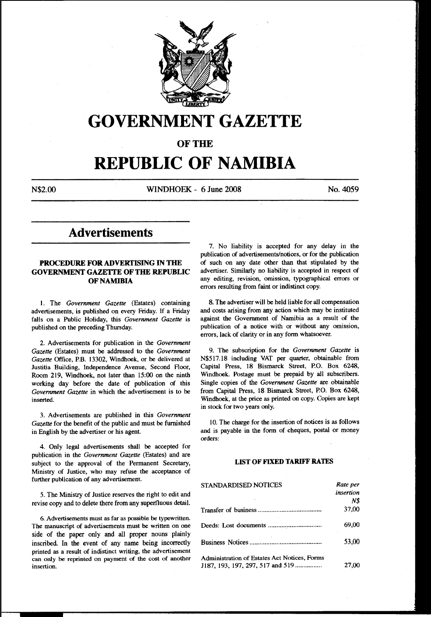

# **GOVERNMENT GAZETTE**

OF THE

# **REPUBLIC OF NAMIBIA**

N\$2.00 WINDHOEK - 6 June 2008 No. 4059

## **Advertisements**

### PROCEDURE FOR ADVERTISING IN THE GOVERNMENT GAZETTE OF THE REPUBLIC OF NAMIBIA

I. The *Government Gazette* (Estates) containing advertisements, is published on every Friday. If a Friday falls on a Public Holiday, this *Government Gazette* is published on the preceding Thursday.

2. Advertisements for publication in the *Government Gazette* (Estates) must be addressed to the *Government Gazette* Office, P.B. 13302, Windhoek, or be delivered at Justitia Building, Independence Avenue, Second Floor, Room 219, Windhoek, not later than 15:00 on the ninth working day before the date of publication of this *Government Gazette* in which the advertisement is to be inserted.

3. Advertisements are published in this *Government Gazette* for the benefit of the public and must be furnished in English by the advertiser or his agent.

4. Only legal advertisements shall be accepted for publication in the *Government Gazette* (Estates) and are subject to the approval of the Permanent Secretary, Ministry of Justice, who may refuse the acceptance of further publication of any advertisement.

S. The Ministry of Justice reserves the right to edit and revise copy and to delete there from any superfluous detail.

6. Advertisements must as far as possible be typewritten. The manuscript of advertisements must be written on one side of the paper only and all proper nouns plainly inscribed. In the event of any name being incorrectly printed as a result of indistinct writing, the advertisement can only be reprinted on payment of the cost of another insertion.

7. No liability is accepted for any delay in the publication of advertisements/notices, or for the publication of such on any date other than that stipulated by the advertiser. Similarly no liability is accepted in respect of any editing, revision, omission, typographical errors or errors resulting from faint or indistinct copy.

8. The advertiser will be held liable for all compensation and costs arising from any action which may be instituted against the Government of Namibia as a result of the publication of a notice with or without any omission, errors, lack of clarity or in any form whatsoever.

9. The subscription for the *Government Gazette* is N\$517.18 including VAT per quarter, obtainable from Capital Press, 18 Bismarck Street, P.O. Box 6248, Windhoek. Postage must be prepaid by all subscribers. Single copies of the *Government Gazette* are obtainable from Capital Press, 18 Bismarck Street, P.O. Box 6248, Windhoek, at the price as printed on copy. Copies are kept in stock for two years only.

10. The charge for the insertion of notices is as follows and is payable in the form of cheques, postal or money orders:

#### LIST OF FIXED TARIFF RATES

| STANDARDISED NOTICES                         | Rate per  |
|----------------------------------------------|-----------|
|                                              | insertion |
|                                              | N\$       |
|                                              | 37,00     |
|                                              | 69,00     |
|                                              | 53,00     |
| Administration of Estates Act Notices, Forms |           |
| J187, 193, 197, 297, 517 and 519             | 27.00     |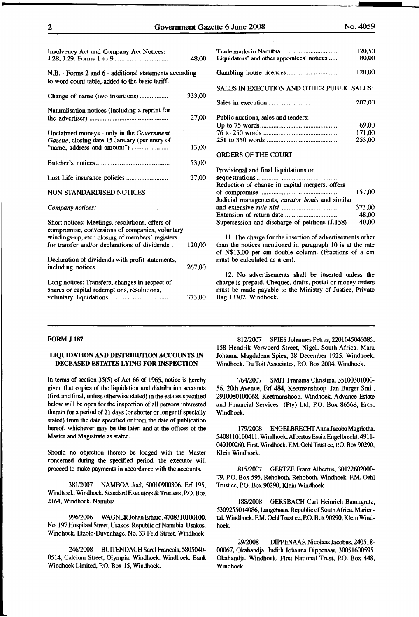| Insolvency Act and Company Act Notices:                |        |                                               |
|--------------------------------------------------------|--------|-----------------------------------------------|
|                                                        | 48,00  | Liquidators' and other appointees' notices    |
| N.B. - Forms 2 and 6 - additional statements according |        |                                               |
| to word count table, added to the basic tariff.        |        |                                               |
|                                                        |        | SALES IN EXECUTION AND OTHER PUB              |
| Change of name (two insertions)                        | 333,00 |                                               |
|                                                        |        |                                               |
| Naturalisation notices (including a reprint for        |        |                                               |
|                                                        | 27,00  | Public auctions, sales and tenders:           |
|                                                        |        |                                               |
| Unclaimed moneys - only in the Government              |        |                                               |
| Gazette, closing date 15 January (per entry of         |        |                                               |
|                                                        | 13,00  |                                               |
|                                                        |        | <b>ORDERS OF THE COURT</b>                    |
|                                                        | 53,00  |                                               |
|                                                        |        | Provisional and final liquidations or         |
| Lost Life insurance policies                           | 27,00  |                                               |
|                                                        |        | Reduction of change in capital mergers, offe  |
| NON-STANDARDISED NOTICES                               |        |                                               |
|                                                        |        | Judicial managements, curator bonis and sir   |
| Company notices:                                       |        |                                               |
|                                                        |        |                                               |
| Short notices: Meetings, resolutions, offers of        |        | Supersession and discharge of petitions (J.1. |
| compromise, conversions of companies, voluntary        |        |                                               |
| windings-up, etc.: closing of members' registers       |        | 11. The charge for the insertion of advertis  |
| for transfer and/or declarations of dividends.         | 120.00 | than the notices mentioned in paragraph 10    |
|                                                        |        | of N\$13,00 per cm double column. (Fracti     |
| Declaration of dividends with profit statements,       |        | must be calculated as a cm).                  |
|                                                        | 267,00 |                                               |
|                                                        |        | 12. No advertisements shall be inserte        |
| Long notices: Transfers, changes in respect of         |        | charge is prepaid. Cheques, drafts, postal or |
| shares or capital redemptions, resolutions,            |        | must be made payable to the Ministry of Ju    |
|                                                        | 373,00 | Bag 13302, Windhoek.                          |
|                                                        |        |                                               |

40,00

|                                                 | 120,50 |
|-------------------------------------------------|--------|
| Liquidators' and other appointees' notices      | 80,00  |
|                                                 | 120,00 |
| SALES IN EXECUTION AND OTHER PUBLIC SALES:      |        |
|                                                 | 207,00 |
| Public auctions, sales and tenders:             |        |
|                                                 | 69,00  |
|                                                 | 171,00 |
|                                                 | 253,00 |
| ORDERS OF THE COURT                             |        |
|                                                 |        |
| Provisional and final liquidations or           |        |
|                                                 |        |
| Reduction of change in capital mergers, offers  |        |
|                                                 | 157,00 |
| Judicial managements, curator bonis and similar |        |
|                                                 | 373,00 |
|                                                 | 48,00  |

II. The charge for the insertion of advertisements other than the notices mentioned in paragraph 10 is at the rate of N\$13,00 per em double column. (Fractions of a em must be calculated as a em).

Supersession and discharge of petitions (J.158)

12. No advertisements shall be inserted unless the charge is prepaid. Cheques, drafts, postal or money orders must be made payable to the Ministry of Justice, Private Bag 13302, Windhoek:.

#### FORM J 187

#### LIQUIDATION AND DISTRIBUTION ACCOUNTS IN DECEASED ESTATES LYING FOR INSPECTION

In terms of section 35(5) of Act 66 of 1965, notice is hereby given that copies of the liquidation and distribution accounts (first and final, unless otherwise stated) in the estates specified below will be open for the inspection of all persons interested therein for a period of 21 days (or shorter or longer if specially stated) from the date specified or from the date of publication hereof, whichever may be the later, and at the offices of the Master and Magistrate as stated.

Should no objection thereto be lodged with the Master concerned during the specified period, the executor will proceed to make payments in accordance with the accounts.

381/2007 NAMBOA Joel, 50010900306, Erf 195, Windhoek:. Windhoek:. Standard Executors & Trustees, P.O. Box 2164, Windhoek:. Namibia.

996/2006 WAGNERJohanErhard,4708310100100, No. 197 Hospitaal Street, Usakos, Republic of Namibia. Usakos. Windhoek:. Etzold-Duvenhage, No. 33 Feld Street, Windhoek:.

246/2008 BUITENDACH Sarel Francois, 5805040- 0514, Calcium Street, Olympia. Windhoek. Windhoek. Bank Windhoek Limited, P.O. Box 15, Windhoek.

81212007 SPIES Johannes Petrus, 2201045046085, 158 Hendrik: Verwoerd Street, Nigel, South Africa. Mara Johanna Magdalena Spies, 28 December 1925. Windhoek:. Windhoek:. Du Toit Associates, P.O. Box 2004, Windhoek:.

764/2007 SMIT Fransina Christina, 35100301000- 56, 20th Avenue, Erf 484, Keetmanshoop. Jan Burger Smit, 2910080100068. Keetmanshoop. Windhoek:. Advance Estate and Financial Services (Pty) Ltd, P.O. Box 86568, Eros, Windhoek:.

179/2008 ENGELBRECHT Anna Jacoba Magrietha, 5408110100411, Windhoek:.Albertus Esaiz Engelbrecht,49ll-040100260. First. Windhoek:. F.M. Oehl Trust cc, P.O. Box 90290, Klein Windhoek:.

815/2007 GERTZE Franz Albertus, 30122602000-79, P.O. Box *595,* Rehoboth. Rehoboth. Windhoek:. F.M. Oehl Trust cc, P.O. Box 90290, Klein Windhoek:.

18812008 GERSBACH Carl Heinrich Baumgratz, 5309255014086, Langebaan, Republic of South Africa Mariental. Windhoek:. F.M. Oehl Trust cc, P.O. Box 90290, Klein Windhoek:.

29/2008 DIPPENAAR Nicolaas Jacobus, 240518- 00067, Okahandia. Judith Johanna Dippenaar, 30051600595. Okahandja. Windhoek. First National Trust, P.O. Box 448, Windhoek:.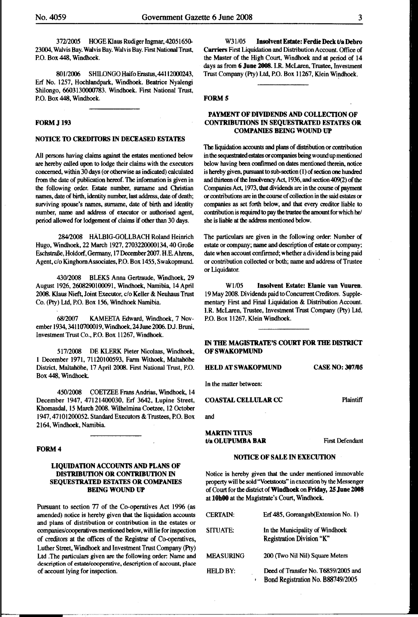37212005 HOGE Klaus Rudiger lngmar, 4205165(}.. 23004, Walvis Bay. Walvis Bay. Walvis Bay. First National Trust, P.O. Box 448, Windhoek.

801/2006 SHILONGO Haifo Erastus, 44112000243, Erf No. 1257, Hochlandpark, Windhoek. Beatrice Nyalengi Shilongo, 6603130000783. Windhoek. First National Trust, P.O. Box 448, Windhoek.

#### FORM J 193

#### NOTICE TO CREDITORS IN DECEASED ESTATES

All persons having claims against the estates mentioned below are hereby called upon to lodge their claims with the executors concerned, within 30 days (or otherwise as indicated) calculated from the date of publication hereof. The information is given in the following order. Estate number, surname and Christian names, date of birth, identity number, last address, date of death; surviving spouse's names, surname, date of birth and identity number, name and address of executor or authorised agent, period allowed for lodgement of claims if other than 30 days.

28412008 HALBIG-GOLLBACH Roland Heinrich Hugo, Windhoek, 22 March 1927, 2703220000134,40 GroBe EschstraBe, Holdorf, Germany, 17 December2007. H.E. Ahrens, Agent, c/o Kinghorn Associates, P.O. Box 1455, Swakopmund.

430/2008 BLEKS Anna Gertraude, Windhoek, 29 August 1926,2608290100091, Windhoek, Namibia, 14April 2008. Klaus Nieft, Joint Executor, c/o Keller & Neuhaus Trust Co. (Pty) Ltd, P.O. Box 156, Windhoek Namibia.

68/2007 KAMEETA Edward, Windhoek, 7 November 1934, 34110700019, Windhoek, 24 June 2006, D.J. Bruni, Investment Trust Co., P.O. Box 11267, Windhoek.

517/2008 DE KLERK Pieter Nicolaas, Windhoek, 1 December 1971, 71120100593, Farm Withoek, Maltahöhe District, Maltahöhe, 17 April 2008. First National Trust, P.O. Box 448, Windhoek.

450/2008 COETZEE Frans Andrias, Windhoek, 14 December 1947, 47121400030, Erf 3642, Lupine Street, COASTAL CELLULAR CC Plaintiff Khomasdal, 15 March 2008. Wilhelmina Coetzee, 12 October 1947,47101200052. Standard Executors & Trustees, P.O. Box and 2164, Windhoek, Namibia.

#### FORM<sub>4</sub>

#### LIQUIDATION ACCOUNTS AND PLANS OF DISTRIBUTION OR CONTRIBUTION IN SEQUESTRATED ESTATES OR COMPANIES BEING WOUND UP

Pursuant to section 77 of the Co-operatives Act 1996 (as amended) notice is hereby given that the liquidation accounts and plans of distribution or contribution in the estates or companies/cooperatives mentioned below, will lie for inspection of creditors at the offices of the Registrar of Co-operatives, Luther Street, Windhoek and Investment Trust Company (Pty) Ltd .The particulars given are the following order: Name and description of estate/cooperative, description of account, place of account lying for inspection.

W3l/05 Insolvent Estate: Ferdie Deck t/a Debro Carriers First Liquidation and Distribution Account. Office of the Master of the High Court, Windhoek and at period of 14 days as from 6 June 2008. I.R. McLaren, Trustee, Investment Trust Company (Pty) Ltd, P.O. Box 11267, Klein Windhoek.

#### FORM<sub>5</sub>

#### PAYMENT OF DIVIDENDS AND COLLECfiON OF CONTRIBUTIONS IN SEQUESTRATED ESTATES OR COMPANIES BEING WOUND UP

The liquidation accounts and plans of distribution or contribution in the sequestrated estates or companies being wound up mentioned below having been confinned on dates mentioned therein, notice is hereby given, pursuant to sub-section (I) of section one hundred and thirteen of the Insolvency Act, 1936, and section 409(2) of the Companies Act, 1973, that dividends are in the course of payment or contributions are in the course of collection in the said estates or companies as set forth below, and that every creditor liable to contribution is required to pay the trustee the amount for which he/ she is liable at the address mentioned below.

The particulars are given in the following order: Number of estate or company; name and description of estate or company; date when account confirmed; whether a dividend is being paid or contribution collected or both; name and address of Trustee or Liquidator.

Wl/05 Insolvent Estate: Elanie van Vuuren. 19 May 2008. Dividends paid to Concurrent Creditors. Supplementary First and Final Liquidation & Distribution Account. I.R. McLaren, Trustee, Investment Trust Company (Pty) Ltd, P.O. Box 11267, Klein Windhoek.

#### IN THE MAGISTRATE'S COURT FOR THE DISTRICT OF SWAKOPMUND

HELD AT SWAKOPMUND CASE NO: 307/05

In the matter between:

#### MARTIN TITUS t/a OLUPUMBA BAR First Defendant

#### NOTICE OF SALE IN EXECUTION

Notice is hereby given that the under mentioned immovable property will be sold "Voetstoots" in execution by the Messenger of Court for the district of Windhoek on Friday, 25 June 2008 at lOhOO at the Magistrate's Court, Windhoek.

| <b>CERTAIN:</b>  | Erf 485, Goreangab(Extension No. 1)                                      |
|------------------|--------------------------------------------------------------------------|
| SITUATE:         | In the Municipality of Windhoek<br>Registration Division "K"             |
| <b>MEASURING</b> | 200 (Two Nil Nil) Square Meters                                          |
| <b>HELD BY:</b>  | Deed of Transfer No. T6859/2005 and<br>Bond Registration No. B88749/2005 |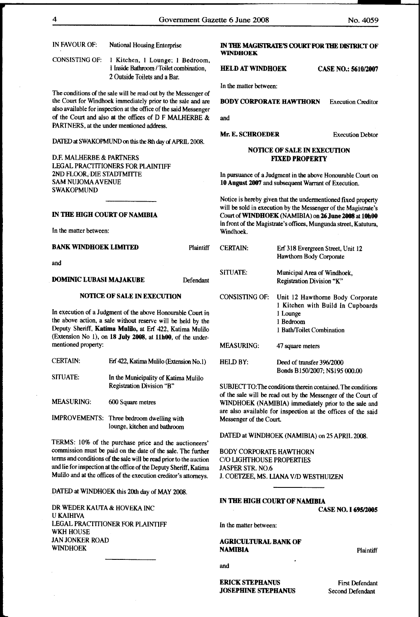| IN FAVOUR OF:                                                                                                                      | National Housing Enterprise                                                                                                 |                                                             | <b>WINDHOEK</b>                                     |                                    | IN THE MAGISTRATE'S COURT FOR THE DISTRICT OF                                                                          |
|------------------------------------------------------------------------------------------------------------------------------------|-----------------------------------------------------------------------------------------------------------------------------|-------------------------------------------------------------|-----------------------------------------------------|------------------------------------|------------------------------------------------------------------------------------------------------------------------|
| <b>CONSISTING OF:</b>                                                                                                              | 1 Kitchen, 1 Lounge; 1 Bedroom,<br>I Inside Bathroom / Toilet combination,<br>2 Outside Toilets and a Bar.                  |                                                             | <b>HELD AT WINDHOEK</b>                             |                                    | <b>CASE NO.: 5610/2007</b>                                                                                             |
|                                                                                                                                    |                                                                                                                             |                                                             | In the matter between:                              |                                    |                                                                                                                        |
|                                                                                                                                    | The conditions of the sale will be read out by the Messenger of                                                             |                                                             |                                                     |                                    |                                                                                                                        |
|                                                                                                                                    | the Court for Windhoek immediately prior to the sale and are                                                                |                                                             | <b>BODY CORPORATE HAWTHORN</b>                      |                                    | <b>Execution Creditor</b>                                                                                              |
|                                                                                                                                    | also available for inspection at the office of the said Messenger<br>of the Court and also at the offices of D F MALHERBE & |                                                             | and                                                 |                                    |                                                                                                                        |
|                                                                                                                                    | PARTNERS, at the under mentioned address.                                                                                   |                                                             |                                                     |                                    |                                                                                                                        |
|                                                                                                                                    |                                                                                                                             |                                                             | <b>Mr. E. SCHROEDER</b>                             |                                    | <b>Execution Debtor</b>                                                                                                |
|                                                                                                                                    | DATED at SWAKOPMUND on this the 8th day of APRIL 2008.                                                                      |                                                             |                                                     |                                    |                                                                                                                        |
| D.F. MALHERBE & PARTNERS                                                                                                           |                                                                                                                             |                                                             |                                                     | <b>NOTICE OF SALE IN EXECUTION</b> |                                                                                                                        |
|                                                                                                                                    | LEGAL PRACTITIONERS FOR PLAINTIFF                                                                                           |                                                             |                                                     | <b>FIXED PROPERTY</b>              |                                                                                                                        |
| 2ND FLOOR, DIE STADTMITTE                                                                                                          |                                                                                                                             |                                                             |                                                     |                                    | In pursuance of a Judgment in the above Honourable Court on                                                            |
| <b>SAM NUJOMA AVENUE</b>                                                                                                           |                                                                                                                             |                                                             | 10 August 2007 and subsequent Warrant of Execution. |                                    |                                                                                                                        |
| <b>SWAKOPMUND</b>                                                                                                                  |                                                                                                                             |                                                             |                                                     |                                    |                                                                                                                        |
|                                                                                                                                    |                                                                                                                             |                                                             |                                                     |                                    | Notice is hereby given that the undermentioned fixed property                                                          |
| IN THE HIGH COURT OF NAMIBIA                                                                                                       |                                                                                                                             |                                                             |                                                     |                                    | will be sold in execution by the Messenger of the Magistrate's<br>Court of WINDHOEK (NAMIBIA) on 26 June 2008 at 10h00 |
|                                                                                                                                    |                                                                                                                             |                                                             |                                                     |                                    | in front of the Magistrate's offices, Mungunda street, Katutura,                                                       |
| In the matter between:                                                                                                             |                                                                                                                             |                                                             | Windhoek.                                           |                                    |                                                                                                                        |
| <b>BANK WINDHOEK LIMITED</b>                                                                                                       |                                                                                                                             | Plaintiff                                                   | <b>CERTAIN:</b>                                     |                                    | Erf 318 Evergreen Street, Unit 12                                                                                      |
| and                                                                                                                                |                                                                                                                             |                                                             |                                                     | Hawthorn Body Corporate            |                                                                                                                        |
|                                                                                                                                    |                                                                                                                             |                                                             | <b>SITUATE:</b>                                     | Municipal Area of Windhoek,        |                                                                                                                        |
| <b>DOMINIC LUBASI MAJAKUBE</b>                                                                                                     |                                                                                                                             | Defendant                                                   |                                                     | Registration Division "K"          |                                                                                                                        |
|                                                                                                                                    |                                                                                                                             |                                                             |                                                     |                                    |                                                                                                                        |
|                                                                                                                                    | <b>NOTICE OF SALE IN EXECUTION</b>                                                                                          |                                                             | <b>CONSISTING OF:</b>                               |                                    | Unit 12 Hawthorne Body Corporate                                                                                       |
|                                                                                                                                    | In execution of a Judgment of the above Honourable Court in                                                                 |                                                             |                                                     | 1 Lounge                           | 1 Kitchen with Build In Cupboards                                                                                      |
|                                                                                                                                    | the above action, a sale without reserve will be held by the                                                                |                                                             |                                                     | 1 Bedroom                          |                                                                                                                        |
|                                                                                                                                    | Deputy Sheriff, Katima Mulilo, at Erf 422, Katima Mulilo                                                                    |                                                             |                                                     | 1 Bath/Toilet Combination          |                                                                                                                        |
|                                                                                                                                    | (Extension No 1), on 18 July 2008, at 11h00, of the under-                                                                  |                                                             |                                                     |                                    |                                                                                                                        |
| mentioned property:                                                                                                                |                                                                                                                             |                                                             | <b>MEASURING:</b>                                   | 47 square meters                   |                                                                                                                        |
| <b>CERTAIN:</b>                                                                                                                    | Erf 422, Katima Mulilo (Extension No.1)                                                                                     |                                                             | <b>HELD BY:</b>                                     | Deed of transfer 396/2000          |                                                                                                                        |
|                                                                                                                                    |                                                                                                                             |                                                             |                                                     |                                    | Bonds B150/2007; N\$195 000.00                                                                                         |
| SITUATE:                                                                                                                           | In the Municipality of Katima Mulilo                                                                                        |                                                             |                                                     |                                    |                                                                                                                        |
|                                                                                                                                    | Registration Division "B"                                                                                                   |                                                             |                                                     |                                    | SUBJECT TO: The conditions therein contained. The conditions                                                           |
| <b>MEASURING:</b>                                                                                                                  | 600 Square metres                                                                                                           |                                                             |                                                     |                                    | of the sale will be read out by the Messenger of the Court of                                                          |
|                                                                                                                                    |                                                                                                                             |                                                             |                                                     |                                    | WINDHOEK (NAMIBIA) immediately prior to the sale and<br>are also available for inspection at the offices of the said   |
|                                                                                                                                    | IMPROVEMENTS: Three bedroom dwelling with                                                                                   |                                                             | Messenger of the Court.                             |                                    |                                                                                                                        |
|                                                                                                                                    | lounge, kitchen and bathroom                                                                                                |                                                             |                                                     |                                    |                                                                                                                        |
|                                                                                                                                    |                                                                                                                             |                                                             | DATED at WINDHOEK (NAMIBIA) on 25 APRIL 2008.       |                                    |                                                                                                                        |
|                                                                                                                                    | TERMS: 10% of the purchase price and the auctioneers'                                                                       |                                                             |                                                     |                                    |                                                                                                                        |
| commission must be paid on the date of the sale. The further<br>terms and conditions of the sale will be read prior to the auction |                                                                                                                             | <b>BODY CORPORATE HAWTHORN</b><br>C/O LIGHTHOUSE PROPERTIES |                                                     |                                    |                                                                                                                        |

DATED at WINDHOEK this 20th day of MAY 2008.

and lie for inspection at the office of the Deputy Sheriff, Katima Mulilo and at the offices of the execution creditor's attorneys.

DR WEDER KAUTA & HOVEKA INC U KAIHIVA LEGAL PRACTITIONER FOR PLAINTIFF WKH HOUSE JAN JONKER ROAD WINDHOEK

and

**NAMIBIA** 

JASPER STR. N0.6

In the matter between:

J. COETZEE, MS. LIANA V/D WESTHUIZEN

IN THE HIGH COURT OF NAMIBIA

ERICK STEPHANUS JOSEPHINE STEPHANUS

AGRICULTURAL BANK OF

**Plaintiff** 

First Defendant Second Defendant

CASE NO. I 695/2005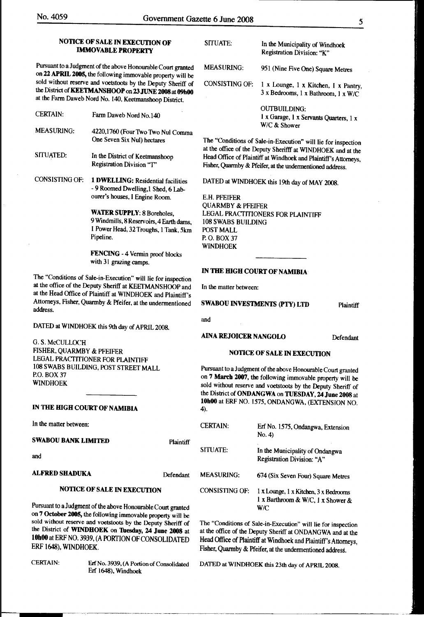#### NOTICE OF SALE IN EXECUTION OF **IMMOVABLE PROPERTY**

Pursuant to a Judgment of the above Honourable Court granted on 22 APRIL 2005, the following immovable property will be sold without reserve and voetstoots by the Deputy Sheriff of the District of KEETMANSHOOP on 23 JUNE 2008 at 09h00 at the Farm Daweb Nord No. 140, Keetmanshoop District.

- CERTAIN: Farm Daweb Nord No.140
- MEASURING: 4220,1760 (Four Two Two Nul Comma One Seven Six Nul) hectares
- SITUATED: In the District of Keetmanshoop Registration Division ''T"
- CONSISTING OF: 1 DWELLING: Residential facilities - 9 Roomed Dwelling, 1 Shed, 6 Labourer's houses, I Engine Room.

WATER SUPPLY: 8 Boreholes, 9 Windmills, 8 Reservoirs, 4 Earth dams, I Power Head, 32 Troughs, 1 Tank, 5km Pipeline.

FENCING - 4 Vermin proof blocks with 31 grazing camps.

1be "Conditions of Sale-in-Execution" will lie for inspection at the office of the Deputy Sheriff at KEETMANSHOOP and In the matter between: at the Head Office of Plaintiff at WINDHOEK and Plaintiff's Attorneys, Fisher, Quarmby & Pfeifer, at the undermentioned SWABOU INVESTMENTS (PTY) LTD Plaintiff<br>address.

DATED at WINDHOEK this 9th day of APRIL 2008.

G. S. McCULLOCH FISHER, QUARMBY & PFEIFER LEGAL PRACTITIONER FOR PLAINTIFF 108 SWABS BUILDING, POST STREET MALL P.O. BOX37 WINDHOEK

#### IN THE HIGH COURT OF NAMIBIA

In the matter between:

#### SWABOU BANK LIMITED

and

### ALFRED SHADUKA Defendant

**Plaintiff** 

### NOTICE OF SALE IN EXECUTION

Pursuant to a Judgment of the above Honourable Court granted on 7 October 2005, the following immovable property will be sold without reserve and voetstoots by the Deputy Sheriff of the District of WINDHOEK on Tuesday, 24 June 2008 at 10h00 at ERF NO. 3939, (A PORTION OF CONSOLIDATED ERF 1648), WINDHOEK.

SITUATE: In the Municipality of Windhoek Registration Division: "K" MEASURING: 951 (Nine Five One) Square Metres CONSISTING OF: 1 x Lounge, 1 x Kitchen, I x Pantry, 3 x Bedrooms, 1 x Bathroom, I x W /C OUTBUILDING: 1 x Garage, 1 x Servants Quarters, 1 x W/C& Shower

The "Conditions of Sale-in-Execution" will lie for inspection at the office of the Deputy Sherifff at WINDHOEK and at the Head Office of Plaintiff at Windhoek and Plaintiff's Attorneys, Fisher, Quarmby & Pfeifer, at the undermentioned address.

DATED at WINDHOEK this 19th day of MAY 2008.

E.H. PFEIFER QUARMBY & PFEIFER LEGAL PRACTITIONERS FOR PLAINTIFF 108 SWABS BUILDING POST MALL P. 0. BOX37 WINDHOEK

#### IN THE HIGH COURT OF NAMIBIA

and

## AINA REJOICER NANGOLO Defendant

#### NOTICE OF SALE IN EXECUTION

Pursuant to a Judgment of the above Honourable Court granted on 7 March 2007, the following immovable property will be sold without reserve and voetstoots by the Deputy Sheriff of the District of ONDANGWA on TUESDAY, 24 June 2008 at lObOO at ERF NO. 1575, ONDANGWA, (EXTENSION NO. 4).

| <b>CERTAIN</b>        | Erf No. 1575, Ondangwa, Extension<br>No. 4                                        |
|-----------------------|-----------------------------------------------------------------------------------|
| <b>SITUATE:</b>       | In the Municipality of Ondangwa<br>Registration Division: "A"                     |
| <b>MEASURING:</b>     | 674 (Six Seven Four) Square Metres                                                |
| <b>CONSISTING OF:</b> | 1 x Lounge, 1 x Kitchen, 3 x Bedrooms<br>1 x Barthroom & W/C, 1 x Shower &<br>W/C |

The "Conditions of Sale-in-Execution" will lie for inspection at the office of the Deputy Sheriff at ONDANGWA and at the Head Office of Plaintiff at Windhoek and Plaintiff's Attorneys, Fisher, Quarmby & Pfeifer, at the undermentioned address.

CERTAIN: Erf No. 3939, (A Portion of Consolidated DATED at WINDHOEK this 23th day of APRIL 2008. Erf 1648), Windhoek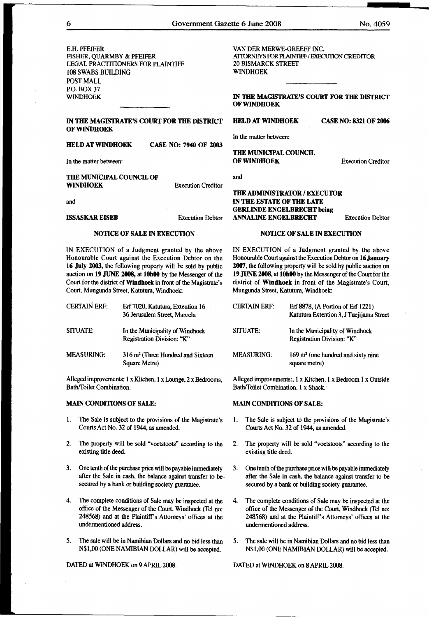E.H. PFEIFER FISHER, QUARMBY & PFEIFER LEGAL PRACfffiONERS FOR PLAINTIFF 108 SWABS BUILDING POST MALL P.O.BOX37 WINDHOEK

#### IN THE MAGISTRATE'S COURT FOR THE DISTRICT HELD AT WINDHOEK CASE NO: 8321 OF 2006 OF WINDHOEK

#### HELD AT WINDHOEK CASE NO: 7940 OF 2003

In the matter between:

#### THE MUNICIPAL COUNCIL OF WINDHOEK

and

#### NOTICE OF SALE IN EXECUTION

IN EXECUTION of a Judgment granted by the above Honourable Court against the Execution Debtor on the 16 July 2003, the following property will be sold by public auction on 19 JUNE 2008, at 10b00 by the Messenger of the Court for the district of Wmdboek in front of the Magistrate's Court, Mungunda Street, Katutura, Windhoek:

| <b>CERTAIN ERF:</b> | Erf 7020, Katutura, Extention 16<br>36 Jerusalem Street, Maroela |
|---------------------|------------------------------------------------------------------|
| SITUATE:            | In the Municipality of Windhoek<br>Registration Division: "K"    |
| <b>MEASURING:</b>   | $316 \text{ m}^2$ (Three Hundred and Sixteen<br>Square Metre)    |

Alleged improvements: 1 x Kitchen, 1 x Lounge, 2 x Bedrooms, Bath/Toilet Combination.

#### MAIN CONDITIONS OF SALE:

- l. The Sale is subject to the provisions of the Magistrate's Courts Act No. 32 of 1944, as'amended.
- 2. The property will be sold "voetstoots" according to the existing title deed.
- 3. One tenth of the purchase price will be payable immediately after the Sale in cash, the balance against transfer to besecured by a bank or building society guarantee.
- 4. The complete conditions of Sale may be inspected at the office of the Messenger of the Court, Windhoek (Tel no: 248568) and at the Plaintiff's Attorneys' offices at the undermentioned address.
- 5. The sale will be in Namibian Dollars and no bid less than N\$1,00 (ONE NAMIBIAN DOLLAR) will be accepted.

DATED at WINDHOEK on 9 APRIL 2008.

IN 1HE MAGISTRATE'S COURT FOR 1HE DISTRICT OF WINDHOEK

Execution Creditor

In the matter between:

THE MUNICIPAL COUNCIL OF WINDHOEK

and

#### THE ADMINISTRATOR / EXECUTOR IN THE ESTATE OF THE LATE GERLINDE ENGELBRECHT being ISSASKAR EISEB Execution Debtor ANN ALINE ENGELBRECHT Execution Debtor

NOTICE OF SALE IN EXECUTION

IN EXECUTION of a Judgment granted by the above Honourable Court against the Execution Debtor on 16 January 2007, the following property will be sold by public auction on 19 JUNE 2008, at 10h00 by the Messenger of the Court for the district of Windhoek in front of the Magistrate's Court, Mungunda Street, Katutura, Windhoek:

| <b>CERTAIN ERF:</b> | Erf 8878, (A Portion of Erf 1221)<br>Katutura Extention 3, J Tuejijama Street |
|---------------------|-------------------------------------------------------------------------------|
| SITUATE:            | In the Municipality of Windhoek<br>Registration Division: "K"                 |
| <b>MEASURING:</b>   | $169$ m <sup>2</sup> (one hundred and sixty nine<br>square metre)             |

Alleged improvements:, 1 x Kitchen, 1 x Bedroom 1 x Outside Bath/Toilet Combination, 1 x Shack.

#### MAIN CONDITIONS OF SALE:

- l. The Sale is subject to the provisions of the Magistrate's Courts Act No. 32 of 1944, as amended.
- 2. The property will be sold "voetstoots" according to the existing title deed.
- 3. One tenth of the purchase price will be payable immediately after the Sale in cash, the balance against transfer to be secured by a bank or building society guarantee.
- 4. The complete conditions of Sale may be inspected at the office of the Messenger of the Court, Windhoek (Tel no: 248568) and at the Plaintiff's Attorneys' offices at the undermentioned address.
- 5. The sale will be in Namibian Dollars and no bid less than N\$1,00 (ONE NAMIBIAN DOLLAR) will be accepted.

DATED at WINDHOEK on 8 APRIL 2008.

Execution Creditor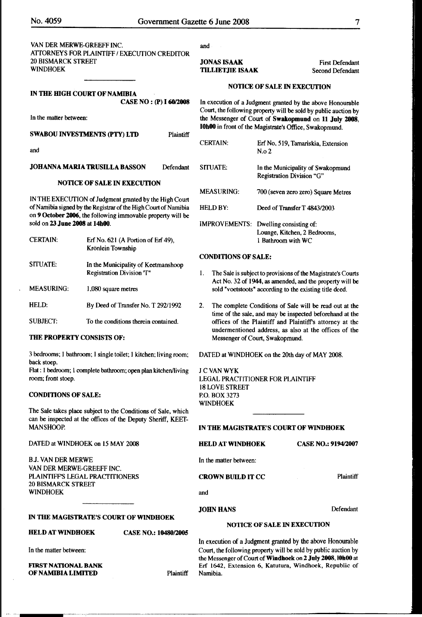| VAN DER MERWE-GREEFF INC.                    |
|----------------------------------------------|
| ATTORNEYS FOR PLAINTIFF / EXECUTION CREDITOR |
| <b>20 BISMARCK STREET</b>                    |
| <b>WINDHOEK</b>                              |

SWABOU INVESTMENTS (PTY) LTD Plaintiff

JOHANNA MARIA TRUSILLA BASSON Defendant

NOTICE OF SALE IN EXECUTION

IN THE EXECUTION of Judgment granted by the High Court of Namibia signed by the Registrar of the High Court of Namibia on 9 October 2006, the following immovable property will be

Krönlein Township

I ,080 square metres

3 bedrooms; I bathroom; I single toilet; I kitchen; living room;

Hat: 1 bedroom; 1 complete bathroom; open plan kitchen/living

The Sale takes place subject to the Conditions of Sale, which can be inspected at the offices of the Deputy Sheriff, KEEf-

Registration Division 'T"

Erf No. 621 (A Portion of Erf 49),

In the Municipality of Keetmanshoop

By Deed of Transfer No. T 29211992

To the conditions therein contained.

#### IN TilE HIGH COURT OF NAMIBIA CASE NO : (P) I 60/2008

In the matter between:

sold on 23 June 2008 at 14b00.

THE PROPERTY CONSISTS OF:

and

CERTAIN:

SITUATE:

HELD:

SUBJECT:

back stoep.

room; front stoep.

MANSHOOP.

CONDITIONS OF SALE:

MEASURING:

and

JONAS ISAAK

## TILLIETJIE ISAAK

First Defendant Second Defendant

#### NOTICE OF SALE IN EXECUTION

In execution of a Judgment granted by the above Honourable Court, the following property will be sold by public auction by the Messenger of Court of Swakopmund on 11 July 2008, IObOO in front of the Magistrate's Office, Swakopmund.

| <b>CERTAIN:</b>      | Erf No, 519, Tamariskia, Extension<br>N.o. 2                                  |
|----------------------|-------------------------------------------------------------------------------|
| <b>SITUATE:</b>      | In the Municipality of Swakopmund<br>Registration Division "G"                |
| <b>MEASURING:</b>    | 700 (seven zero zero) Square Metres                                           |
| <b>HELD BY:</b>      | Deed of Transfer T 4843/2003                                                  |
| <b>IMPROVEMENTS:</b> | Dwelling consisting of:<br>Lounge, Kitchen, 2 Bedrooms,<br>1 Bathroom with WC |

#### CONDITIONS OF SALE:

- I. The Sale is subject to provisions of the Magistrate's Courts Act No. 32 of 1944, as amended, and the property will be sold "voetstoots" according to the existing title deed.
- 2. The complete Conditions of Sale will be read out at the time of the sale, and may be inspected beforehand at the offices of the Plaintiff and Plaintifrs attorney at the undermentioned address, as also at the offices of the Messenger of Court, Swakopmund.

DATED at WINDHOEK on the 20th day of MAY 2008.

JCVANWYK LEGAL PRACTITIONER FOR PLAINTIFF 18 LOVE STREET P.O. BOX 3273 WINDHOEK

#### IN THE MAGISTRATE'S COURT OF WINDHOEK

| DATED at WINDHOEK on 15 MAY 2008                                    |                             | <b>HELD AT WINDHOEK</b>                                                                                                      | <b>CASE NO.: 9194/2007</b> |
|---------------------------------------------------------------------|-----------------------------|------------------------------------------------------------------------------------------------------------------------------|----------------------------|
| <b>BJ. VAN DER MERWE</b>                                            |                             | In the matter between:                                                                                                       |                            |
| VAN DER MERWE-GREEFF INC.                                           |                             |                                                                                                                              |                            |
| <b>PLAINTIFF'S LEGAL PRACTITIONERS</b><br><b>20 BISMARCK STREET</b> |                             | <b>CROWN BUILD IT CC</b>                                                                                                     | <b>Plaintiff</b>           |
|                                                                     |                             |                                                                                                                              |                            |
| <b>WINDHOEK</b>                                                     |                             | and                                                                                                                          |                            |
|                                                                     |                             | <b>JOHN HANS</b>                                                                                                             | Defendant                  |
| IN THE MAGISTRATE'S COURT OF WINDHOEK                               |                             |                                                                                                                              |                            |
|                                                                     |                             | <b>NOTICE OF SALE IN EXECUTION</b>                                                                                           |                            |
| <b>HELD AT WINDHOEK</b>                                             | <b>CASE NO.: 10480/2005</b> |                                                                                                                              |                            |
|                                                                     |                             | In execution of a Judgment granted by the above Honourable                                                                   |                            |
| In the matter between:                                              |                             | Court, the following property will be sold by public auction by<br>the Messenger of Court of Windhook on 2 Inty 2008 JOhn at |                            |

OF NAMIBIA LIMITED Plaintiff Namibia.

Court, the following property will be sold by public auction by the Messenger of Court of Windhoek on 2 July 2008, IOhOO at FIRST NATIONAL BANK ERF 1642, Extension 6, Katutura, Windhoek, Republic of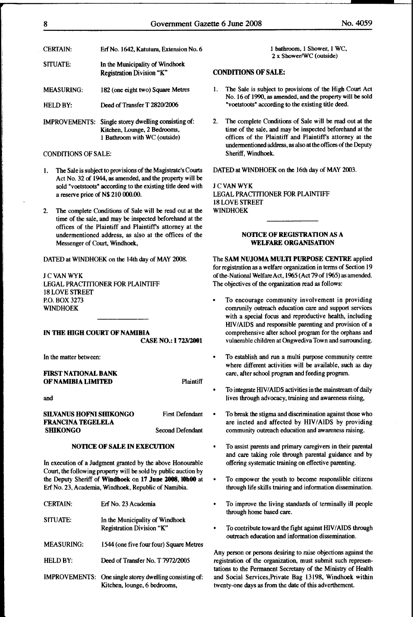| <b>CERTAIN:</b>   | Erf No. 1642, Katutura, Extension No.                                               |
|-------------------|-------------------------------------------------------------------------------------|
| SITUATE:          | In the Municipality of Windhoek<br>Registration Division "K"                        |
| <b>MEASURING:</b> | 182 (one eight two) Square Metres                                                   |
| HELD BY:          | Deed of Transfer T 2820/2006                                                        |
|                   | IMPROVEMENTS: Single storey dwelling consisting of:<br>Kitchen, Lounge, 2 Bedrooms, |

#### CONDITIONS OF SALE:

1. The Sale is subject to provisions of the Magistrate's Courts Act No. 32 of 1944, as amended, and the property will be sold "voetstoots" according to the existing title deed with a reserve price of N\$ 210 000.00.

I Bathroom with WC (outside)

2. The complete Conditions of Sale will be read out at the time of the sale, and may be inspected beforehand at the offices of the Plaintiff and Plaintiffs attorney at the undermentioned address, as also at the offices of the Messenger of Court, Windhoek,

DATED at WINDHOEK on the 14th day of MAY 2008.

JCVANWYK LEGAL PRACTITIONER FOR PLAINTIFF 18 LOVE STREET P.O. BOX 3273 WINDHOEK

#### IN THE HIGH COURT OF NAMIBIA

CASE NO.: I 72312001

In the matter between:

#### FIRST NATIONAL BANK OF NAMIBIA LIMITED Plaintiff

and

#### SILVANUS HOFNI SHIKONGO FRANCINA TEGELELA **SHIKONGO**

Second Defendant

First Defendant

#### NOTICE OF SALE IN EXECUTION

In execution of a Judgment granted by the above Honourable Court, the following property will be sold by public auction by the Deputy Sheriff of Windhoek on 17 June 2008, IObOO at Erf No. 23, Academia, Windhoek, Republic of Namibia

| <b>CERTAIN:</b>   | Erf No. 23 Academia                                                                            |
|-------------------|------------------------------------------------------------------------------------------------|
| SITUATE:          | In the Municipality of Windhoek<br>Registration Division "K"                                   |
| <b>MEASURING:</b> | 1544 (one five four four) Square Metres                                                        |
| HELD BY:          | Deed of Transfer No. T 7972/2005                                                               |
|                   | <b>IMPROVEMENTS:</b> One single storey dwelling consisting of:<br>Kitchen, lounge, 6 bedrooms, |

External CEI is a loathroom, I Shower, I WC, 2 x Shower/WC (outside)

#### CONDITIONS OF SALE:

- I. The Sale is subject to provisions of the High Court Act No. I6 of I990, as amended, and the property will be sold "voetstoots" according to the existing title deed.
- 2. The complete Conditions of Sale will be read out at the time of the sale, and may be inspected beforehand at the offices of the Plaintiff and Plaintiffs attorney at the undermentioned address, as also at the offices of the Deputy Sheriff, Windhoek.

DATED at WINDHOEK on the 16th day of MAY 2003.

JCVANWYK LEGAL PRACTITIONER FOR PLAINTIFF 18 LOVE STREEf WINDHOEK

#### NOTICE OF REGISTRATION AS A WELFARE ORGANISATION

The SAM NUJOMA MULTI PURPOSE CENTRE applied for registration as a welfare organization in terms of Section 19 of the-National Welfare Act, 1965 (Act79of 1965) as amended. The objectives of the organization read as follows:

- To encourage community involvement in providing comrunily outreach education care and support services with a special focus and reproductive health, including HIVIAIDS and responsible parenting and provision of a comprehensive after school program for the orphans and vulnerable children at Ongwediva Town and surrounding.
- To establish and run a multi purpose community centre where different activities will be available, such as day care, after school program and feeding program.
- To integrate HIVIAIDS activities in the mainstream of daily lives through advocacy, training and awareness rising,
- To break the stigma and discrimination against those who are incted and affected by HIV/AIDS by providing community outreach education and awareness raising.
- To assist parents and primary caregivers in their parental and care taking role through parental guidance and by offering systematic training on effective parenting.
- To empower the youth to become responslible citizens through life skills trairing and information dissemination.
- To improve the living standards of terminally ill people through home based care.
- To contribute toward the fight against HIV/AIDS through outreach education and information dissemination.

Any person or persons desiring to raise objections against the registration of the organization, must submit such representations to the Permanent Secretany of the Ministry of Health and Social Services,Private Bag 13198, Windhoek within twenty-one days as from the date of this adverthement.